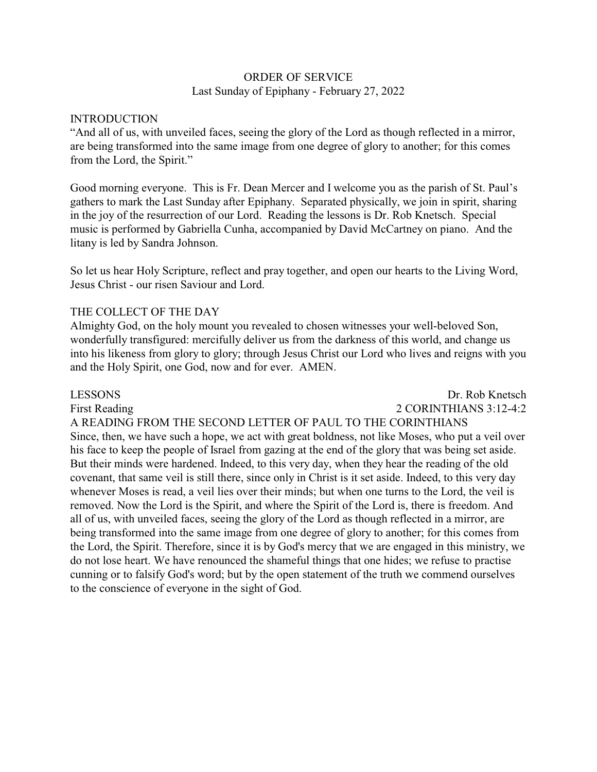#### ORDER OF SERVICE Last Sunday of Epiphany - February 27, 2022

#### **INTRODUCTION**

"And all of us, with unveiled faces, seeing the glory of the Lord as though reflected in a mirror, are being transformed into the same image from one degree of glory to another; for this comes from the Lord, the Spirit."

Good morning everyone. This is Fr. Dean Mercer and I welcome you as the parish of St. Paul's gathers to mark the Last Sunday after Epiphany. Separated physically, we join in spirit, sharing in the joy of the resurrection of our Lord. Reading the lessons is Dr. Rob Knetsch. Special music is performed by Gabriella Cunha, accompanied by David McCartney on piano. And the litany is led by Sandra Johnson.

So let us hear Holy Scripture, reflect and pray together, and open our hearts to the Living Word, Jesus Christ - our risen Saviour and Lord.

#### THE COLLECT OF THE DAY

Almighty God, on the holy mount you revealed to chosen witnesses your well-beloved Son, wonderfully transfigured: mercifully deliver us from the darkness of this world, and change us into his likeness from glory to glory; through Jesus Christ our Lord who lives and reigns with you and the Holy Spirit, one God, now and for ever. AMEN.

LESSONS Dr. Rob Knetsch First Reading 2 CORINTHIANS 3:12-4:2

A READING FROM THE SECOND LETTER OF PAUL TO THE CORINTHIANS Since, then, we have such a hope, we act with great boldness, not like Moses, who put a veil over his face to keep the people of Israel from gazing at the end of the glory that was being set aside. But their minds were hardened. Indeed, to this very day, when they hear the reading of the old covenant, that same veil is still there, since only in Christ is it set aside. Indeed, to this very day whenever Moses is read, a veil lies over their minds; but when one turns to the Lord, the veil is removed. Now the Lord is the Spirit, and where the Spirit of the Lord is, there is freedom. And all of us, with unveiled faces, seeing the glory of the Lord as though reflected in a mirror, are being transformed into the same image from one degree of glory to another; for this comes from the Lord, the Spirit. Therefore, since it is by God's mercy that we are engaged in this ministry, we do not lose heart. We have renounced the shameful things that one hides; we refuse to practise cunning or to falsify God's word; but by the open statement of the truth we commend ourselves to the conscience of everyone in the sight of God.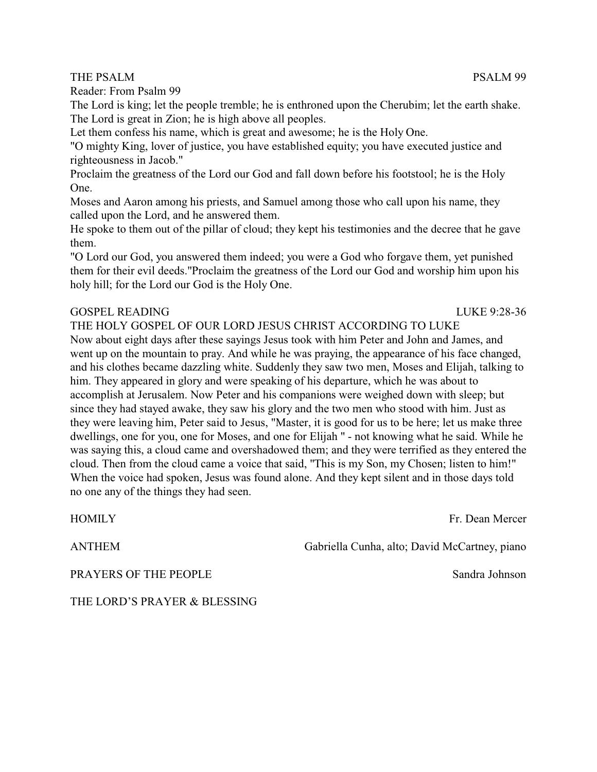#### THE PSALM 99

Reader: From Psalm 99

The Lord is king; let the people tremble; he is enthroned upon the Cherubim; let the earth shake. The Lord is great in Zion; he is high above all peoples.

Let them confess his name, which is great and awesome; he is the Holy One.

"O mighty King, lover of justice, you have established equity; you have executed justice and righteousness in Jacob."

Proclaim the greatness of the Lord our God and fall down before his footstool; he is the Holy One.

Moses and Aaron among his priests, and Samuel among those who call upon his name, they called upon the Lord, and he answered them.

He spoke to them out of the pillar of cloud; they kept his testimonies and the decree that he gave them.

"O Lord our God, you answered them indeed; you were a God who forgave them, yet punished them for their evil deeds."Proclaim the greatness of the Lord our God and worship him upon his holy hill; for the Lord our God is the Holy One.

#### GOSPEL READING LUKE 9:28-36

# THE HOLY GOSPEL OF OUR LORD JESUS CHRIST ACCORDING TO LUKE

Now about eight days after these sayings Jesus took with him Peter and John and James, and went up on the mountain to pray. And while he was praying, the appearance of his face changed, and his clothes became dazzling white. Suddenly they saw two men, Moses and Elijah, talking to him. They appeared in glory and were speaking of his departure, which he was about to accomplish at Jerusalem. Now Peter and his companions were weighed down with sleep; but since they had stayed awake, they saw his glory and the two men who stood with him. Just as they were leaving him, Peter said to Jesus, "Master, it is good for us to be here; let us make three dwellings, one for you, one for Moses, and one for Elijah " - not knowing what he said. While he was saying this, a cloud came and overshadowed them; and they were terrified as they entered the cloud. Then from the cloud came a voice that said, "This is my Son, my Chosen; listen to him!" When the voice had spoken, Jesus was found alone. And they kept silent and in those days told no one any of the things they had seen.

HOMILY Fr. Dean Mercer

ANTHEM Gabriella Cunha, alto; David McCartney, piano

**PRAYERS OF THE PEOPLE** Sandra Johnson

THE LORD'S PRAYER & BLESSING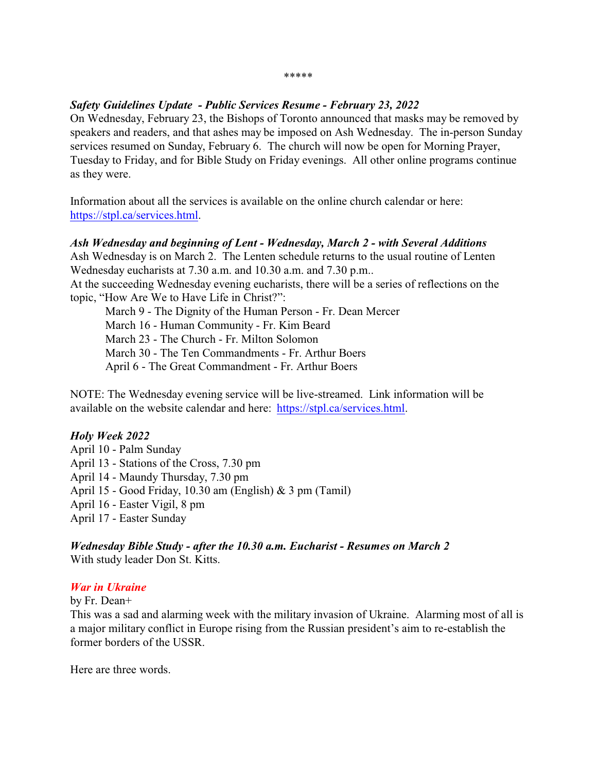\*\*\*\*\*

#### *Safety Guidelines Update - Public Services Resume - February 23, 2022*

On Wednesday, February 23, the Bishops of Toronto announced that masks may be removed by speakers and readers, and that ashes may be imposed on Ash Wednesday. The in-person Sunday services resumed on Sunday, February 6. The church will now be open for Morning Prayer, Tuesday to Friday, and for Bible Study on Friday evenings. All other online programs continue as they were.

Information about all the services is available on the online church calendar or here: <https://stpl.ca/services.html>.

#### *Ash Wednesday and beginning of Lent - Wednesday, March 2 - with Several Additions*

Ash Wednesday is on March 2. The Lenten schedule returns to the usual routine of Lenten Wednesday eucharists at 7.30 a.m. and 10.30 a.m. and 7.30 p.m.. At the succeeding Wednesday evening eucharists, there will be a series of reflections on the

topic, "How Are We to Have Life in Christ?":

March 9 - The Dignity of the Human Person - Fr. Dean Mercer

March 16 - Human Community - Fr. Kim Beard

March 23 - The Church - Fr. Milton Solomon

March 30 - The Ten Commandments - Fr. Arthur Boers

April 6 - The Great Commandment - Fr. Arthur Boers

NOTE: The Wednesday evening service will be live-streamed. Link information will be available on the website calendar and here: <https://stpl.ca/services.html>.

#### *Holy Week 2022*

April 10 - Palm Sunday April 13 - Stations of the Cross, 7.30 pm April 14 - Maundy Thursday, 7.30 pm April 15 - Good Friday, 10.30 am (English) & 3 pm (Tamil) April 16 - Easter Vigil, 8 pm April 17 - Easter Sunday

*Wednesday Bible Study - after the 10.30 a.m. Eucharist - Resumes on March 2* With study leader Don St. Kitts.

## *War in Ukraine*

by Fr. Dean+

This was a sad and alarming week with the military invasion of Ukraine. Alarming most of all is a major military conflict in Europe rising from the Russian president's aim to re-establish the former borders of the USSR.

Here are three words.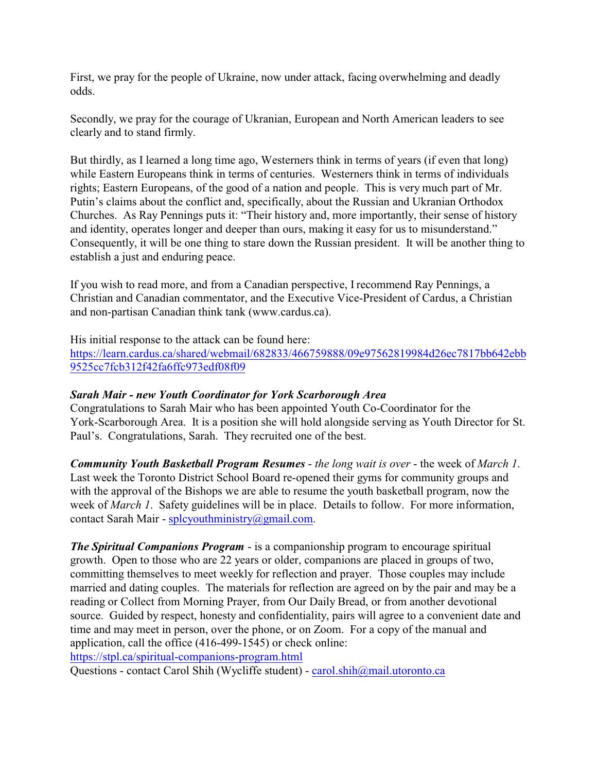First, we pray for the people of Ukraine, now under attack, facing overwhelming and deadly odds.

Secondly, we pray for the courage of Ukranian, European and North American leaders to see clearly and to stand firmly.

But thirdly, as I learned a long time ago, Westerners think in terms of years (if even that long) while Eastern Europeans think in terms of centuries. Westerners think in terms of individuals rights; Eastern Europeans, of the good of a nation and people. This is very much part of Mr. Putin's claims about the conflict and, specifically, about the Russian and Ukranian Orthodox Churches. As Ray Pennings puts it: "Their history and, more importantly, their sense of history and identity, operates longer and deeper than ours, making it easy for us to misunderstand." Consequently, it will be one thing to stare down the Russian president. It will be another thing to establish a just and enduring peace.

If you wish to read more, and from a Canadian perspective, I recommend Ray Pennings, a Christian and Canadian commentator, and the Executive Vice-President of Cardus, a Christian and non-partisan Canadian think tank (www.cardus.ca).

His initial response to the attack can be found here: [https://learn.cardus.ca/shared/webmail/682833/466759888/09e97562819984d26ec7817bb642ebb](https://learn.cardus.ca/shared/webmail/682833/466759888/09e97562819984d26ec7817bb642ebb9525cc7fcb312f42fa6ffc973edf08f09) [9525cc7fcb312f42fa6ffc973edf08f09](https://learn.cardus.ca/shared/webmail/682833/466759888/09e97562819984d26ec7817bb642ebb9525cc7fcb312f42fa6ffc973edf08f09)

## *Sarah Mair - new Youth Coordinator for York Scarborough Area*

Congratulations to Sarah Mair who has been appointed Youth Co-Coordinator for the York-Scarborough Area. It is a position she will hold alongside serving as Youth Director for St. Paul's. Congratulations, Sarah. They recruited one of the best.

*Community Youth Basketball Program Resumes* - *the long wait is over* - the week of *March 1*. Last week the Toronto District School Board re-opened their gyms for community groups and with the approval of the Bishops we are able to resume the youth basketball program, now the week of *March 1*. Safety guidelines will be in place. Details to follow. For more information, contact Sarah Mair - [splcyouthministry@gmail.com](mailto:splcyouthministry@gmail.com).

*The Spiritual Companions Program* - is a companionship program to encourage spiritual growth. Open to those who are 22 years or older, companions are placed in groups of two, committing themselves to meet weekly for reflection and prayer. Those couples may include married and dating couples. The materials for reflection are agreed on by the pair and may be a reading or Collect from Morning Prayer, from Our Daily Bread, or from another devotional source. Guided by respect, honesty and confidentiality, pairs will agree to a convenient date and time and may meet in person, over the phone, or on Zoom. For a copy of the manual and application, call the office (416-499-1545) or check online:

<https://stpl.ca/spiritual-companions-program.html>

Questions - contact Carol Shih (Wycliffe student) - [carol.shih@mail.utoronto.ca](mailto:carol.shih@mail.utoronto.ca)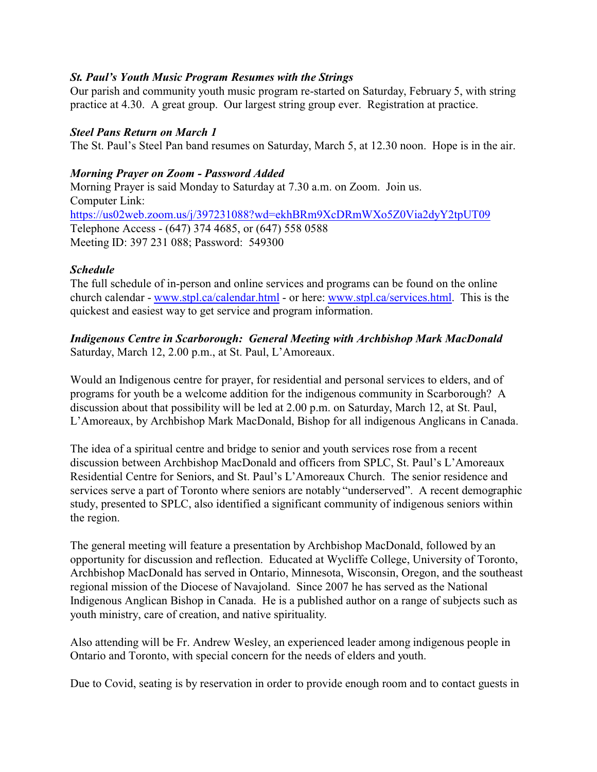#### *St. Paul's Youth Music Program Resumes with the Strings*

Our parish and community youth music program re-started on Saturday, February 5, with string practice at 4.30. A great group. Our largest string group ever. Registration at practice.

#### *Steel Pans Return on March 1*

The St. Paul's Steel Pan band resumes on Saturday, March 5, at 12.30 noon. Hope is in the air.

#### *Morning Prayer on Zoom - Password Added*

Morning Prayer is said Monday to Saturday at 7.30 a.m. on Zoom. Join us. Computer Link: <https://us02web.zoom.us/j/397231088?wd=ekhBRm9XcDRmWXo5Z0Via2dyY2tpUT09> Telephone Access - (647) 374 4685, or (647) 558 0588 Meeting ID: 397 231 088; Password: 549300

## *Schedule*

The full schedule of in-person and online services and programs can be found on the online church calendar - [www.stpl.ca/calendar.html](https://stpl.ca/calendar.html) - or here: [www.stpl.ca/services.html](https://stpl.ca/services.html). This is the quickest and easiest way to get service and program information.

## *Indigenous Centre in Scarborough: General Meeting with Archbishop Mark MacDonald* Saturday, March 12, 2.00 p.m., at St. Paul, L'Amoreaux.

Would an Indigenous centre for prayer, for residential and personal services to elders, and of programs for youth be a welcome addition for the indigenous community in Scarborough? A discussion about that possibility will be led at 2.00 p.m. on Saturday, March 12, at St. Paul, L'Amoreaux, by Archbishop Mark MacDonald, Bishop for all indigenous Anglicans in Canada.

The idea of a spiritual centre and bridge to senior and youth services rose from a recent discussion between Archbishop MacDonald and officers from SPLC, St. Paul's L'Amoreaux Residential Centre for Seniors, and St. Paul's L'Amoreaux Church. The senior residence and services serve a part of Toronto where seniors are notably "underserved". A recent demographic study, presented to SPLC, also identified a significant community of indigenous seniors within the region.

The general meeting will feature a presentation by Archbishop MacDonald, followed by an opportunity for discussion and reflection. Educated at Wycliffe College, University of Toronto, Archbishop MacDonald has served in Ontario, Minnesota, Wisconsin, Oregon, and the southeast regional mission of the Diocese of Navajoland. Since 2007 he has served as the National Indigenous Anglican Bishop in Canada. He is a published author on a range of subjects such as youth ministry, care of creation, and native spirituality.

Also attending will be Fr. Andrew Wesley, an experienced leader among indigenous people in Ontario and Toronto, with special concern for the needs of elders and youth.

Due to Covid, seating is by reservation in order to provide enough room and to contact guests in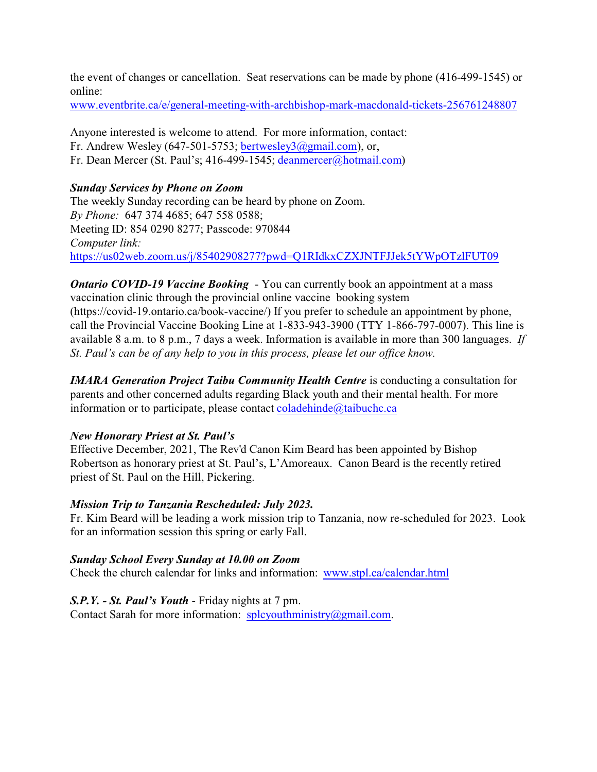the event of changes or cancellation. Seat reservations can be made by phone (416-499-1545) or online:

[www.eventbrite.ca/e/general-meeting-with-archbishop-mark-macdonald-tickets-256761248807](http://www.eventbrite.ca/e/general-meeting-with-archbishop-mark-macdonald-tickets-256761248807)

Anyone interested is welcome to attend. For more information, contact: Fr. Andrew Wesley (647-501-5753; [bertwesley3@gmail.com](mailto:bertwesley3@gmail.com)), or, Fr. Dean Mercer (St. Paul's; 416-499-1545; [deanmercer@hotmail.com](mailto:deanmercer@hotmail.com))

## *Sunday Services by Phone on Zoom*

The weekly Sunday recording can be heard by phone on Zoom. *By Phone:* 647 374 4685; 647 558 0588; Meeting ID: 854 0290 8277; Passcode: 970844 *Computer link:* <https://us02web.zoom.us/j/85402908277?pwd=Q1RIdkxCZXJNTFJJek5tYWpOTzlFUT09>

**Ontario COVID-19 Vaccine Booking** - You can currently book an appointment at a mass vaccination clinic through the provincial online vaccine booking system (https://covid-19.ontario.ca/book-vaccine/) If you prefer to schedule an appointment by phone, call the Provincial Vaccine Booking Line at 1-833-943-3900 (TTY 1-866-797-0007). This line is available 8 a.m. to 8 p.m., 7 days a week. Information is available in more than 300 languages. *If St. Paul's can be of any help to you in this process, please let our office know.*

*IMARA Generation Project Taibu Community Health Centre* is conducting a consultation for parents and other concerned adults regarding Black youth and their mental health. For more information or to participate, please contact coladehinde $@$ taibuchc.ca

## *New Honorary Priest at St. Paul's*

Effective December, 2021, The Rev'd Canon Kim Beard has been appointed by Bishop Robertson as honorary priest at St. Paul's, L'Amoreaux. Canon Beard is the recently retired priest of St. Paul on the Hill, Pickering.

## *Mission Trip to Tanzania Rescheduled: July 2023.*

Fr. Kim Beard will be leading a work mission trip to Tanzania, now re-scheduled for 2023. Look for an information session this spring or early Fall.

#### *Sunday School Every Sunday at 10.00 on Zoom*

Check the church calendar for links and information: [www.stpl.ca/calendar.html](http://www.stpl.ca/calendar.html)

## *S.P.Y. - St. Paul's Youth* - Friday nights at 7 pm.

Contact Sarah for more information:  $splcyouthministry@gmail.com$ .